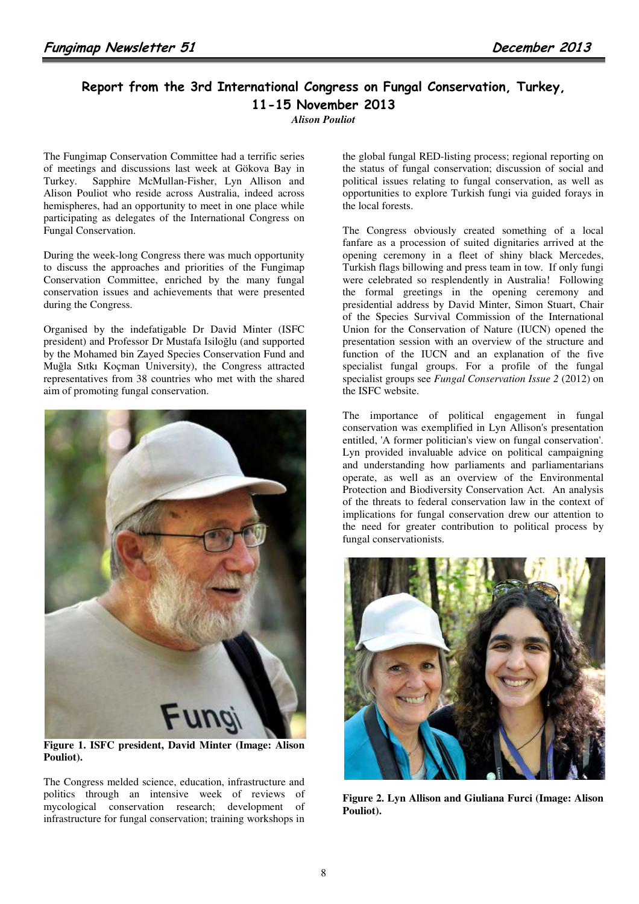## Report from the 3rd International Congress on Fungal Conservation, Turkey, 11-15 November 2013

*Alison Pouliot* 

The Fungimap Conservation Committee had a terrific series of meetings and discussions last week at Gökova Bay in Turkey. Sapphire McMullan-Fisher, Lyn Allison and Alison Pouliot who reside across Australia, indeed across hemispheres, had an opportunity to meet in one place while participating as delegates of the International Congress on Fungal Conservation.

During the week-long Congress there was much opportunity to discuss the approaches and priorities of the Fungimap Conservation Committee, enriched by the many fungal conservation issues and achievements that were presented during the Congress.

Organised by the indefatigable Dr David Minter (ISFC president) and Professor Dr Mustafa Isiloğlu (and supported by the Mohamed bin Zayed Species Conservation Fund and Muğla Sıtkı Koçman University), the Congress attracted representatives from 38 countries who met with the shared aim of promoting fungal conservation.



**Figure 1. ISFC president, David Minter (Image: Alison Pouliot).** 

The Congress melded science, education, infrastructure and politics through an intensive week of reviews of mycological conservation research; development of infrastructure for fungal conservation; training workshops in

the global fungal RED-listing process; regional reporting on the status of fungal conservation; discussion of social and political issues relating to fungal conservation, as well as opportunities to explore Turkish fungi via guided forays in the local forests.

The Congress obviously created something of a local fanfare as a procession of suited dignitaries arrived at the opening ceremony in a fleet of shiny black Mercedes, Turkish flags billowing and press team in tow. If only fungi were celebrated so resplendently in Australia! Following the formal greetings in the opening ceremony and presidential address by David Minter, Simon Stuart, Chair of the Species Survival Commission of the International Union for the Conservation of Nature (IUCN) opened the presentation session with an overview of the structure and function of the IUCN and an explanation of the five specialist fungal groups. For a profile of the fungal specialist groups see *Fungal Conservation Issue 2* (2012) on the ISFC website.

The importance of political engagement in fungal conservation was exemplified in Lyn Allison's presentation entitled, 'A former politician's view on fungal conservation'. Lyn provided invaluable advice on political campaigning and understanding how parliaments and parliamentarians operate, as well as an overview of the Environmental Protection and Biodiversity Conservation Act. An analysis of the threats to federal conservation law in the context of implications for fungal conservation drew our attention to the need for greater contribution to political process by fungal conservationists.



**Figure 2. Lyn Allison and Giuliana Furci (Image: Alison Pouliot).**